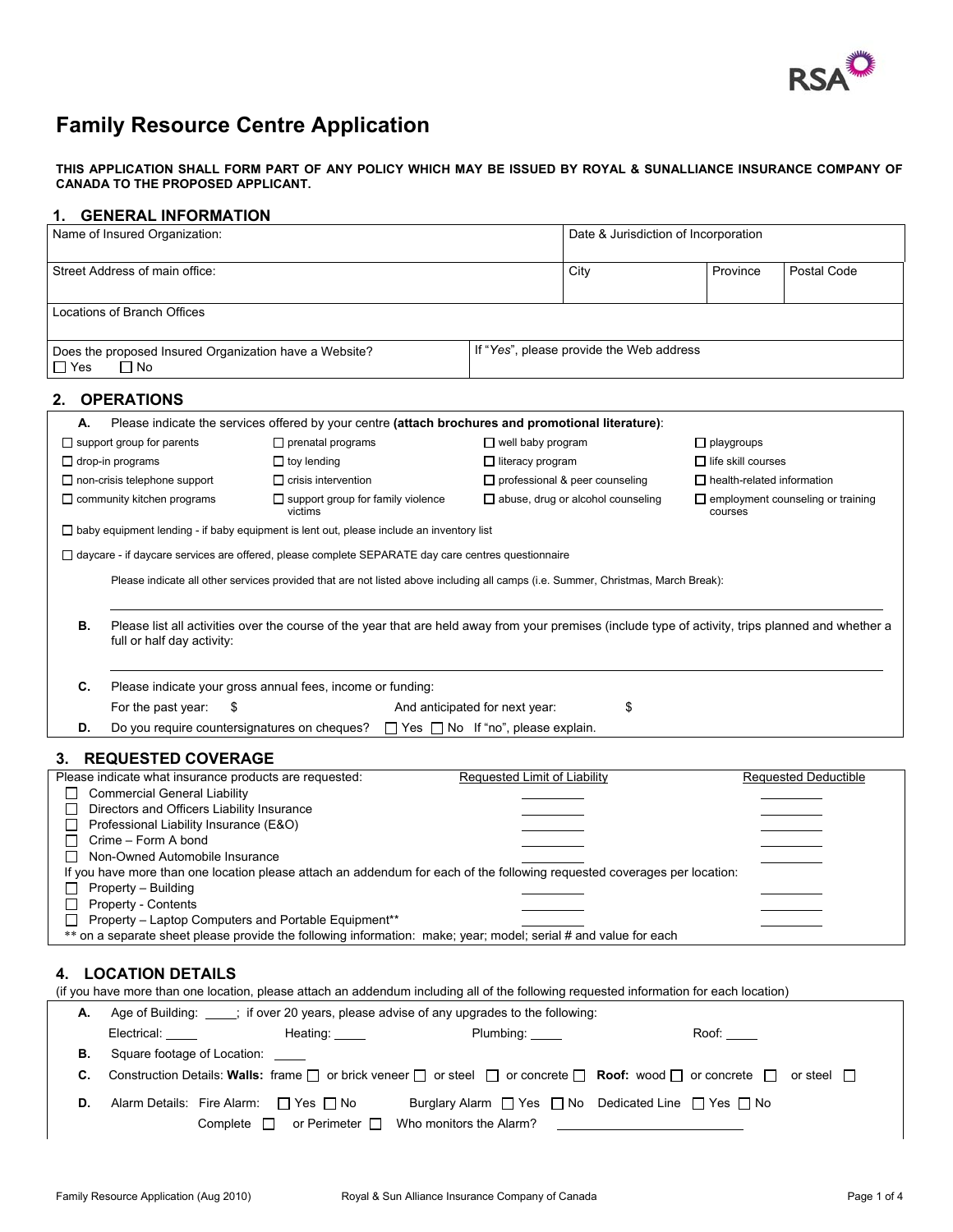

# **Family Resource Centre Application**

**THIS APPLICATION SHALL FORM PART OF ANY POLICY WHICH MAY BE ISSUED BY ROYAL & SUNALLIANCE INSURANCE COMPANY OF CANADA TO THE PROPOSED APPLICANT.**

## **1. GENERAL INFORMATION**

| Name of Insured Organization:                                                                                                                                                                                                                                                                                                                                   |                                                                                                                                                                                                                                                                                                     | Date & Jurisdiction of Incorporation  |                                          |                                   |                                          |  |
|-----------------------------------------------------------------------------------------------------------------------------------------------------------------------------------------------------------------------------------------------------------------------------------------------------------------------------------------------------------------|-----------------------------------------------------------------------------------------------------------------------------------------------------------------------------------------------------------------------------------------------------------------------------------------------------|---------------------------------------|------------------------------------------|-----------------------------------|------------------------------------------|--|
| Street Address of main office:                                                                                                                                                                                                                                                                                                                                  |                                                                                                                                                                                                                                                                                                     |                                       | City                                     | Province                          | Postal Code                              |  |
| Locations of Branch Offices                                                                                                                                                                                                                                                                                                                                     |                                                                                                                                                                                                                                                                                                     |                                       |                                          |                                   |                                          |  |
| Does the proposed Insured Organization have a Website?<br>$\Box$ Yes<br>$\Box$ No                                                                                                                                                                                                                                                                               |                                                                                                                                                                                                                                                                                                     |                                       | If "Yes", please provide the Web address |                                   |                                          |  |
| <b>OPERATIONS</b><br>2.                                                                                                                                                                                                                                                                                                                                         |                                                                                                                                                                                                                                                                                                     |                                       |                                          |                                   |                                          |  |
| А.                                                                                                                                                                                                                                                                                                                                                              | Please indicate the services offered by your centre (attach brochures and promotional literature):                                                                                                                                                                                                  |                                       |                                          |                                   |                                          |  |
| $\Box$ support group for parents                                                                                                                                                                                                                                                                                                                                | $\Box$ prenatal programs                                                                                                                                                                                                                                                                            | $\Box$ well baby program              |                                          | $\Box$ playgroups                 |                                          |  |
| $\Box$ drop-in programs                                                                                                                                                                                                                                                                                                                                         | $\Box$ toy lending                                                                                                                                                                                                                                                                                  | $\Box$ literacy program               |                                          | $\Box$ life skill courses         |                                          |  |
| $\Box$ non-crisis telephone support                                                                                                                                                                                                                                                                                                                             | $\Box$ crisis intervention                                                                                                                                                                                                                                                                          | $\Box$ professional & peer counseling |                                          | $\Box$ health-related information |                                          |  |
| $\Box$ community kitchen programs                                                                                                                                                                                                                                                                                                                               | $\Box$ support group for family violence<br>victims                                                                                                                                                                                                                                                 |                                       | $\Box$ abuse, drug or alcohol counseling | courses                           | $\Box$ employment counseling or training |  |
|                                                                                                                                                                                                                                                                                                                                                                 | $\Box$ baby equipment lending - if baby equipment is lent out, please include an inventory list                                                                                                                                                                                                     |                                       |                                          |                                   |                                          |  |
|                                                                                                                                                                                                                                                                                                                                                                 | □ daycare - if daycare services are offered, please complete SEPARATE day care centres questionnaire                                                                                                                                                                                                |                                       |                                          |                                   |                                          |  |
| В.<br>full or half day activity:                                                                                                                                                                                                                                                                                                                                | Please indicate all other services provided that are not listed above including all camps (i.e. Summer, Christmas, March Break):<br>Please list all activities over the course of the year that are held away from your premises (include type of activity, trips planned and whether a             |                                       |                                          |                                   |                                          |  |
| C.                                                                                                                                                                                                                                                                                                                                                              | Please indicate your gross annual fees, income or funding:                                                                                                                                                                                                                                          |                                       |                                          |                                   |                                          |  |
| For the past year:<br>\$                                                                                                                                                                                                                                                                                                                                        |                                                                                                                                                                                                                                                                                                     | And anticipated for next year:        | \$                                       |                                   |                                          |  |
| D.                                                                                                                                                                                                                                                                                                                                                              | Do you require countersignatures on cheques? □ Yes □ No If "no", please explain.                                                                                                                                                                                                                    |                                       |                                          |                                   |                                          |  |
| <b>REQUESTED COVERAGE</b><br>З.                                                                                                                                                                                                                                                                                                                                 |                                                                                                                                                                                                                                                                                                     |                                       |                                          |                                   |                                          |  |
| Please indicate what insurance products are requested:<br><b>Commercial General Liability</b><br>П.<br>Directors and Officers Liability Insurance<br>□<br>□<br>Professional Liability Insurance (E&O)<br>Crime - Form A bond<br>$\perp$<br>Non-Owned Automobile Insurance<br>П<br>Property - Building<br>$\perp$<br><b>Property - Contents</b><br>$\sqcup$<br>ப | If you have more than one location please attach an addendum for each of the following requested coverages per location:<br>Property – Laptop Computers and Portable Equipment**<br>** on a separate sheet please provide the following information: make; year; model; serial # and value for each | Requested Limit of Liability          |                                          |                                   | <b>Requested Deductible</b>              |  |
| <b>LOCATION DETAILS</b>                                                                                                                                                                                                                                                                                                                                         | (if you have more than one location, please attach an addendum including all of the following requested information for each location)                                                                                                                                                              |                                       |                                          |                                   |                                          |  |

| А. |                                                 |                | Age of Building: ____; if over 20 years, please advise of any upgrades to the following: |                                                                                                                                                                                         |  |
|----|-------------------------------------------------|----------------|------------------------------------------------------------------------------------------|-----------------------------------------------------------------------------------------------------------------------------------------------------------------------------------------|--|
|    | Electrical:                                     | Heating: _____ | Plumbing: _____                                                                          | Roof: North Committee                                                                                                                                                                   |  |
|    | <b>B.</b> Square footage of Location:           |                |                                                                                          |                                                                                                                                                                                         |  |
|    |                                                 |                |                                                                                          | <b>C.</b> Construction Details: Walls: frame $\square$ or brick veneer $\square$ or steel $\square$ or concrete $\square$ Roof: wood $\square$ or concrete $\square$ or steel $\square$ |  |
| D. | Alarm Details: Fire Alarm: $\Box$ Yes $\Box$ No |                | Burglary Alarm $\Box$ Yes $\Box$ No Dedicated Line $\Box$ Yes $\Box$ No                  |                                                                                                                                                                                         |  |
|    |                                                 |                | Complete $\Box$ or Perimeter $\Box$ Who monitors the Alarm?                              |                                                                                                                                                                                         |  |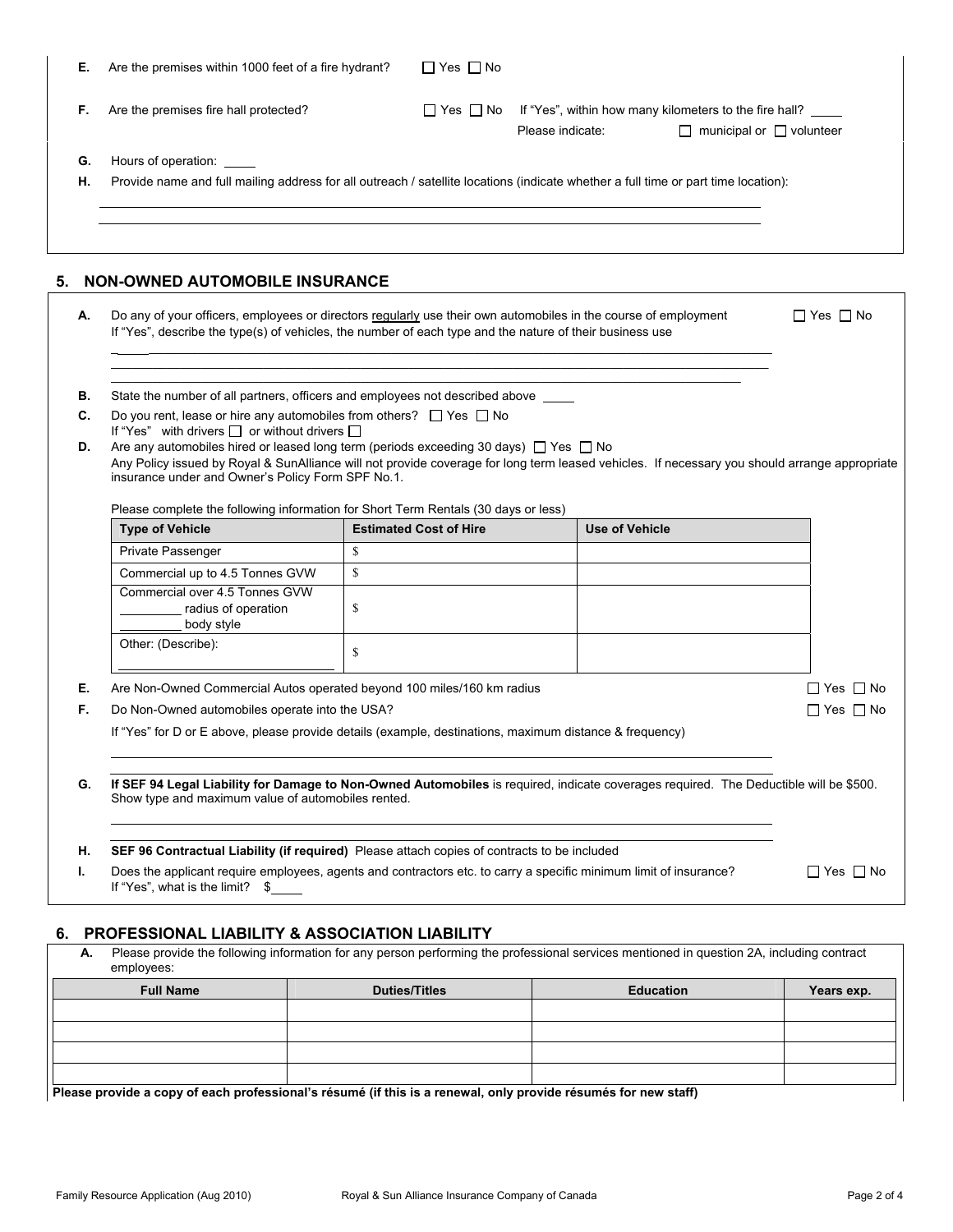|    | Е.                                                                                                                                                                                                                                                                                                                                                         | Are the premises within 1000 feet of a fire hydrant?                                                                                                                                                                        |    | $\Box$ Yes $\Box$ No          |                                                                                                        |                                      |                      |
|----|------------------------------------------------------------------------------------------------------------------------------------------------------------------------------------------------------------------------------------------------------------------------------------------------------------------------------------------------------------|-----------------------------------------------------------------------------------------------------------------------------------------------------------------------------------------------------------------------------|----|-------------------------------|--------------------------------------------------------------------------------------------------------|--------------------------------------|----------------------|
|    | F.                                                                                                                                                                                                                                                                                                                                                         | Are the premises fire hall protected?                                                                                                                                                                                       |    |                               | $\Box$ Yes $\Box$ No If "Yes", within how many kilometers to the fire hall? $\Box$<br>Please indicate: | $\Box$ municipal or $\Box$ volunteer |                      |
|    | G.<br>н.                                                                                                                                                                                                                                                                                                                                                   | Hours of operation:<br>Provide name and full mailing address for all outreach / satellite locations (indicate whether a full time or part time location):                                                                   |    |                               |                                                                                                        |                                      |                      |
| 5. |                                                                                                                                                                                                                                                                                                                                                            | <b>NON-OWNED AUTOMOBILE INSURANCE</b>                                                                                                                                                                                       |    |                               |                                                                                                        |                                      |                      |
|    | А.                                                                                                                                                                                                                                                                                                                                                         | Do any of your officers, employees or directors regularly use their own automobiles in the course of employment<br>If "Yes", describe the type(s) of vehicles, the number of each type and the nature of their business use |    |                               |                                                                                                        |                                      | $\Box$ Yes $\Box$ No |
|    | В.                                                                                                                                                                                                                                                                                                                                                         | State the number of all partners, officers and employees not described above ____                                                                                                                                           |    |                               |                                                                                                        |                                      |                      |
|    | C.                                                                                                                                                                                                                                                                                                                                                         | Do you rent, lease or hire any automobiles from others? $\Box$ Yes $\Box$ No                                                                                                                                                |    |                               |                                                                                                        |                                      |                      |
|    | If "Yes" with drivers □ or without drivers □<br>Are any automobiles hired or leased long term (periods exceeding 30 days) $\Box$ Yes $\Box$ No<br>D.<br>Any Policy issued by Royal & SunAlliance will not provide coverage for long term leased vehicles. If necessary you should arrange appropriate<br>insurance under and Owner's Policy Form SPF No.1. |                                                                                                                                                                                                                             |    |                               |                                                                                                        |                                      |                      |
|    |                                                                                                                                                                                                                                                                                                                                                            | Please complete the following information for Short Term Rentals (30 days or less)<br><b>Type of Vehicle</b>                                                                                                                |    | <b>Estimated Cost of Hire</b> | <b>Use of Vehicle</b>                                                                                  |                                      |                      |
|    |                                                                                                                                                                                                                                                                                                                                                            | Private Passenger                                                                                                                                                                                                           | \$ |                               |                                                                                                        |                                      |                      |
|    |                                                                                                                                                                                                                                                                                                                                                            | Commercial up to 4.5 Tonnes GVW                                                                                                                                                                                             | \$ |                               |                                                                                                        |                                      |                      |
|    |                                                                                                                                                                                                                                                                                                                                                            | Commercial over 4.5 Tonnes GVW<br>radius of operation<br>body style                                                                                                                                                         | \$ |                               |                                                                                                        |                                      |                      |
|    |                                                                                                                                                                                                                                                                                                                                                            | Other: (Describe):                                                                                                                                                                                                          | S  |                               |                                                                                                        |                                      |                      |
|    | Е.                                                                                                                                                                                                                                                                                                                                                         | Are Non-Owned Commercial Autos operated beyond 100 miles/160 km radius                                                                                                                                                      |    |                               |                                                                                                        |                                      | $\Box$ Yes $\Box$ No |
|    | F.                                                                                                                                                                                                                                                                                                                                                         | Do Non-Owned automobiles operate into the USA?                                                                                                                                                                              |    |                               |                                                                                                        |                                      | $\Box$ Yes $\Box$ No |
|    |                                                                                                                                                                                                                                                                                                                                                            | If "Yes" for D or E above, please provide details (example, destinations, maximum distance & frequency)                                                                                                                     |    |                               |                                                                                                        |                                      |                      |
|    | G.                                                                                                                                                                                                                                                                                                                                                         | If SEF 94 Legal Liability for Damage to Non-Owned Automobiles is required, indicate coverages required. The Deductible will be \$500.<br>Show type and maximum value of automobiles rented.                                 |    |                               |                                                                                                        |                                      |                      |
|    | н.                                                                                                                                                                                                                                                                                                                                                         | SEF 96 Contractual Liability (if required) Please attach copies of contracts to be included                                                                                                                                 |    |                               |                                                                                                        |                                      |                      |
|    | ı.                                                                                                                                                                                                                                                                                                                                                         | Does the applicant require employees, agents and contractors etc. to carry a specific minimum limit of insurance?<br>If "Yes", what is the limit? $$$                                                                       |    |                               |                                                                                                        |                                      | $\Box$ Yes $\Box$ No |

# **6. PROFESSIONAL LIABILITY & ASSOCIATION LIABILITY**

| А.<br>employees:                                                           | Please provide the following information for any person performing the professional services mentioned in question 2A, including contract |  |  |  |  |  |
|----------------------------------------------------------------------------|-------------------------------------------------------------------------------------------------------------------------------------------|--|--|--|--|--|
| <b>Full Name</b><br><b>Duties/Titles</b><br><b>Education</b><br>Years exp. |                                                                                                                                           |  |  |  |  |  |
|                                                                            |                                                                                                                                           |  |  |  |  |  |
|                                                                            |                                                                                                                                           |  |  |  |  |  |
|                                                                            |                                                                                                                                           |  |  |  |  |  |
|                                                                            |                                                                                                                                           |  |  |  |  |  |
|                                                                            | Please provide a copy of each professional's résumé (if this is a renewal, only provide résumés for new staff)                            |  |  |  |  |  |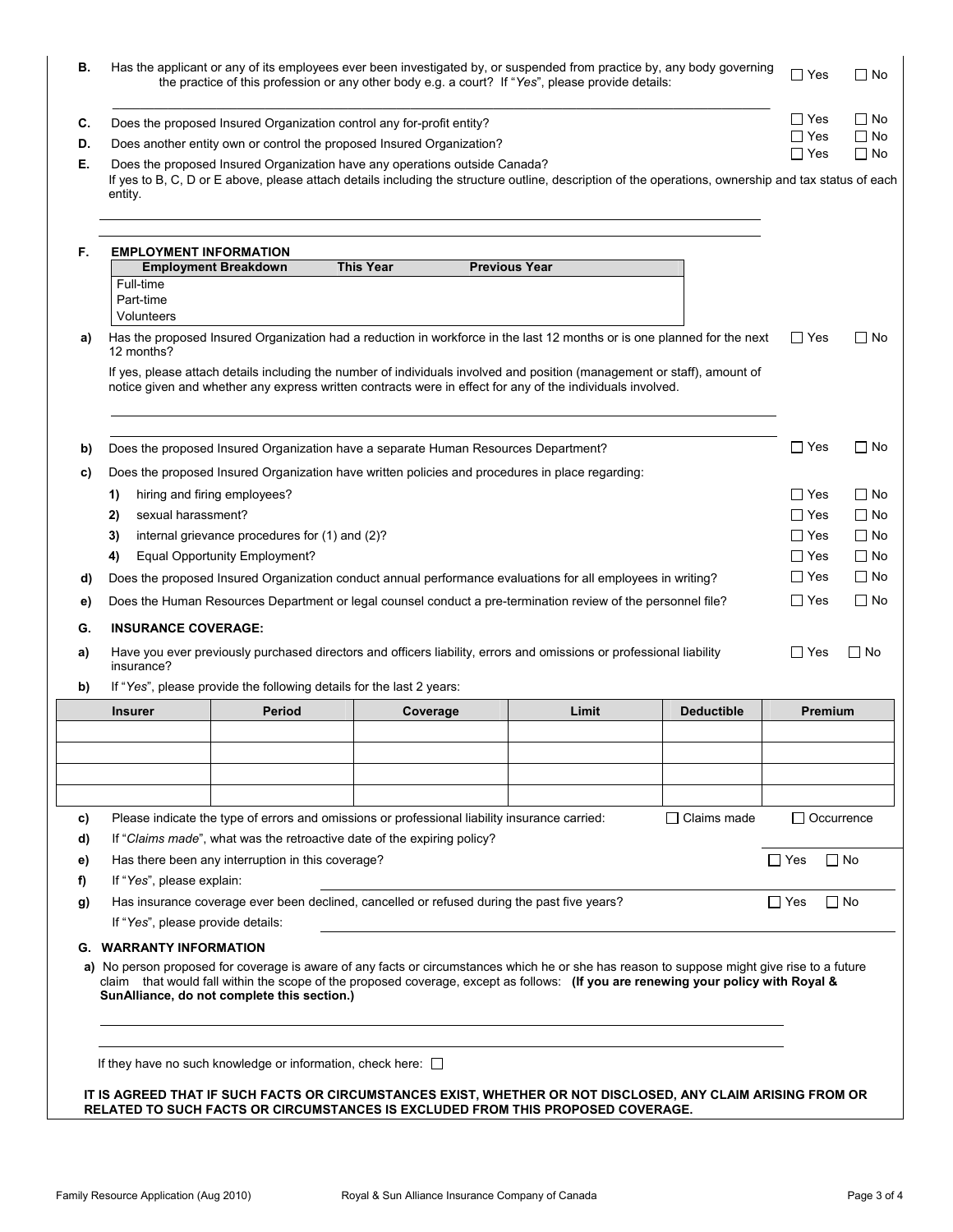| С.                         | Has the applicant or any of its employees ever been investigated by, or suspended from practice by, any body governing<br>the practice of this profession or any other body e.g. a court? If "Yes", please provide details: |                                                                                                                                                      |                                                                            |                                                                                                                                                                                                                                                                                  |                    |                   | $\Box$ Yes<br>$\Box$ No |
|----------------------------|-----------------------------------------------------------------------------------------------------------------------------------------------------------------------------------------------------------------------------|------------------------------------------------------------------------------------------------------------------------------------------------------|----------------------------------------------------------------------------|----------------------------------------------------------------------------------------------------------------------------------------------------------------------------------------------------------------------------------------------------------------------------------|--------------------|-------------------|-------------------------|
|                            |                                                                                                                                                                                                                             |                                                                                                                                                      |                                                                            |                                                                                                                                                                                                                                                                                  |                    | $\Box$ Yes        | $\Box$ No               |
| D.                         | Does the proposed Insured Organization control any for-profit entity?<br>Does another entity own or control the proposed Insured Organization?                                                                              |                                                                                                                                                      |                                                                            |                                                                                                                                                                                                                                                                                  |                    | $\Box$ Yes        | $\Box$ No               |
| Е.                         |                                                                                                                                                                                                                             |                                                                                                                                                      | Does the proposed Insured Organization have any operations outside Canada? |                                                                                                                                                                                                                                                                                  |                    | $\Box$ Yes        | $\Box$ No               |
|                            | entity.                                                                                                                                                                                                                     | If yes to B, C, D or E above, please attach details including the structure outline, description of the operations, ownership and tax status of each |                                                                            |                                                                                                                                                                                                                                                                                  |                    |                   |                         |
| F.                         | <b>EMPLOYMENT INFORMATION</b><br><b>Employment Breakdown</b>                                                                                                                                                                |                                                                                                                                                      | <b>This Year</b>                                                           | <b>Previous Year</b>                                                                                                                                                                                                                                                             |                    |                   |                         |
|                            | Full-time<br>Part-time<br>Volunteers                                                                                                                                                                                        |                                                                                                                                                      |                                                                            |                                                                                                                                                                                                                                                                                  |                    |                   |                         |
| a)                         | 12 months?                                                                                                                                                                                                                  |                                                                                                                                                      |                                                                            | Has the proposed Insured Organization had a reduction in workforce in the last 12 months or is one planned for the next                                                                                                                                                          |                    | $\Box$ Yes        | $\Box$ No               |
|                            |                                                                                                                                                                                                                             |                                                                                                                                                      |                                                                            | If yes, please attach details including the number of individuals involved and position (management or staff), amount of<br>notice given and whether any express written contracts were in effect for any of the individuals involved.                                           |                    |                   |                         |
| b)                         |                                                                                                                                                                                                                             |                                                                                                                                                      |                                                                            | Does the proposed Insured Organization have a separate Human Resources Department?                                                                                                                                                                                               |                    | $\Box$ Yes        | $\Box$ No               |
| C)                         |                                                                                                                                                                                                                             |                                                                                                                                                      |                                                                            | Does the proposed Insured Organization have written policies and procedures in place regarding:                                                                                                                                                                                  |                    |                   |                         |
|                            | hiring and firing employees?<br>1)                                                                                                                                                                                          |                                                                                                                                                      |                                                                            |                                                                                                                                                                                                                                                                                  |                    | $\Box$ Yes        | $\Box$ No               |
|                            | sexual harassment?<br>2)                                                                                                                                                                                                    |                                                                                                                                                      |                                                                            |                                                                                                                                                                                                                                                                                  |                    | $\Box$ Yes        | $\Box$ No               |
|                            | internal grievance procedures for (1) and (2)?<br>3)                                                                                                                                                                        |                                                                                                                                                      |                                                                            |                                                                                                                                                                                                                                                                                  |                    |                   | $\Box$ No               |
|                            | <b>Equal Opportunity Employment?</b><br>4)                                                                                                                                                                                  |                                                                                                                                                      |                                                                            |                                                                                                                                                                                                                                                                                  |                    |                   | $\Box$ No               |
| d)                         | Does the proposed Insured Organization conduct annual performance evaluations for all employees in writing?                                                                                                                 |                                                                                                                                                      |                                                                            |                                                                                                                                                                                                                                                                                  |                    |                   | $\Box$ No               |
| e)                         | Does the Human Resources Department or legal counsel conduct a pre-termination review of the personnel file?                                                                                                                |                                                                                                                                                      |                                                                            |                                                                                                                                                                                                                                                                                  |                    |                   | $\Box$ No               |
| G.                         |                                                                                                                                                                                                                             |                                                                                                                                                      |                                                                            |                                                                                                                                                                                                                                                                                  |                    |                   |                         |
| a)                         | <b>INSURANCE COVERAGE:</b><br>Have you ever previously purchased directors and officers liability, errors and omissions or professional liability<br>insurance?                                                             |                                                                                                                                                      |                                                                            |                                                                                                                                                                                                                                                                                  |                    |                   | $\Box$ No               |
|                            |                                                                                                                                                                                                                             |                                                                                                                                                      |                                                                            |                                                                                                                                                                                                                                                                                  |                    |                   |                         |
|                            |                                                                                                                                                                                                                             |                                                                                                                                                      | If "Yes", please provide the following details for the last 2 years:       |                                                                                                                                                                                                                                                                                  |                    |                   |                         |
| b)                         | <b>Insurer</b>                                                                                                                                                                                                              | <b>Period</b>                                                                                                                                        | Coverage                                                                   | Limit                                                                                                                                                                                                                                                                            | <b>Deductible</b>  | <b>Premium</b>    |                         |
|                            |                                                                                                                                                                                                                             |                                                                                                                                                      |                                                                            |                                                                                                                                                                                                                                                                                  |                    |                   |                         |
|                            |                                                                                                                                                                                                                             |                                                                                                                                                      |                                                                            | Please indicate the type of errors and omissions or professional liability insurance carried:                                                                                                                                                                                    | $\Box$ Claims made | $\Box$ Occurrence |                         |
|                            |                                                                                                                                                                                                                             |                                                                                                                                                      | If "Claims made", what was the retroactive date of the expiring policy?    |                                                                                                                                                                                                                                                                                  |                    |                   |                         |
|                            |                                                                                                                                                                                                                             | Has there been any interruption in this coverage?                                                                                                    |                                                                            |                                                                                                                                                                                                                                                                                  |                    | $\Box$ Yes        | $\Box$ No               |
|                            | If "Yes", please explain:                                                                                                                                                                                                   |                                                                                                                                                      |                                                                            |                                                                                                                                                                                                                                                                                  |                    |                   |                         |
|                            |                                                                                                                                                                                                                             |                                                                                                                                                      |                                                                            | Has insurance coverage ever been declined, cancelled or refused during the past five years?                                                                                                                                                                                      |                    | $\Box$ Yes        | $\Box$ No               |
|                            | If "Yes", please provide details:                                                                                                                                                                                           |                                                                                                                                                      |                                                                            |                                                                                                                                                                                                                                                                                  |                    |                   |                         |
|                            | <b>G. WARRANTY INFORMATION</b>                                                                                                                                                                                              |                                                                                                                                                      |                                                                            |                                                                                                                                                                                                                                                                                  |                    |                   |                         |
| C)<br>d)<br>e)<br>f)<br>g) |                                                                                                                                                                                                                             | SunAlliance, do not complete this section.)                                                                                                          |                                                                            | a) No person proposed for coverage is aware of any facts or circumstances which he or she has reason to suppose might give rise to a future<br>claim that would fall within the scope of the proposed coverage, except as follows: (If you are renewing your policy with Royal & |                    |                   |                         |